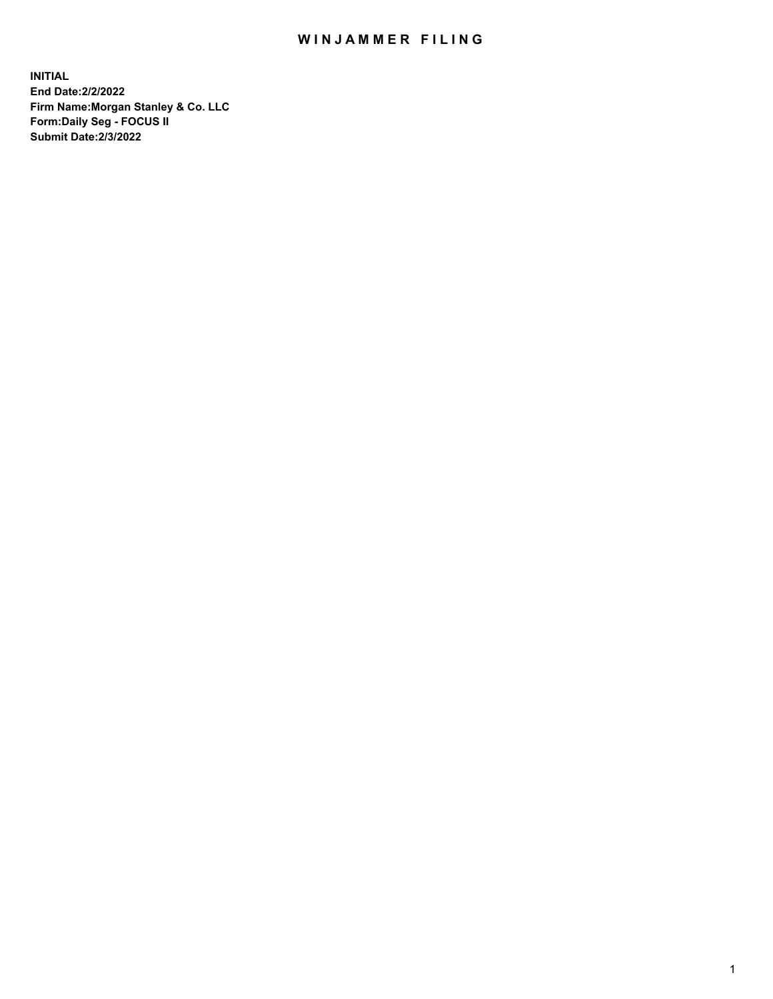## WIN JAMMER FILING

**INITIAL End Date:2/2/2022 Firm Name:Morgan Stanley & Co. LLC Form:Daily Seg - FOCUS II Submit Date:2/3/2022**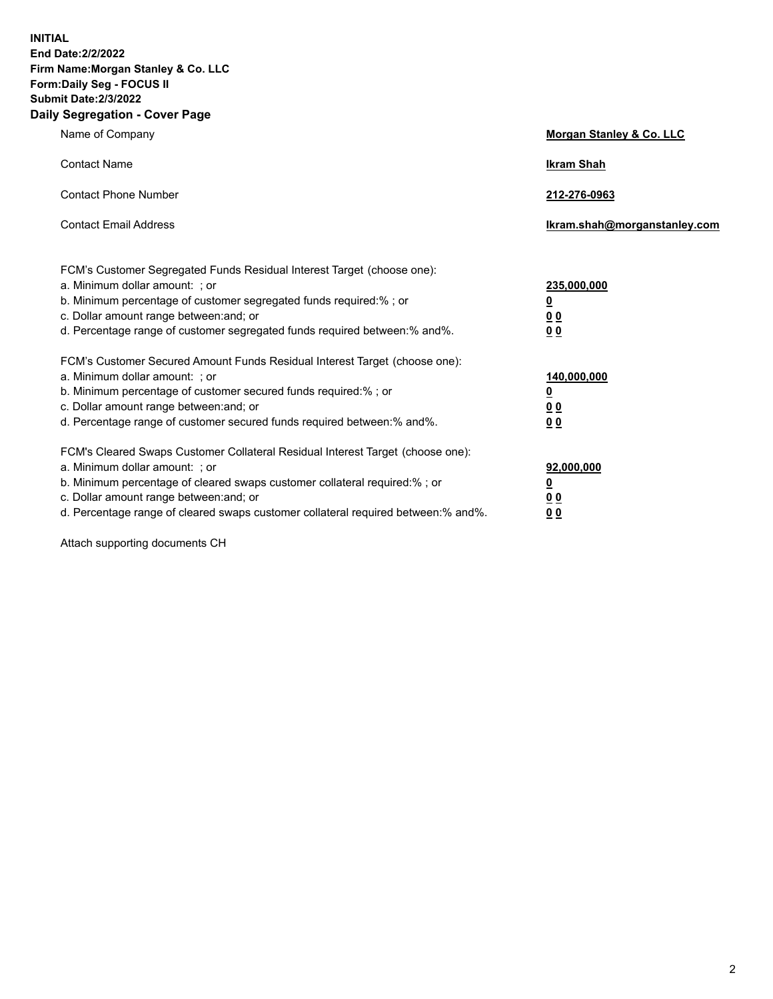**INITIAL End Date:2/2/2022 Firm Name:Morgan Stanley & Co. LLC Form:Daily Seg - FOCUS II Submit Date:2/3/2022 Daily Segregation - Cover Page**

| Name of Company                                                                                                                                                                                                                                                                                                               | Morgan Stanley & Co. LLC                                                     |
|-------------------------------------------------------------------------------------------------------------------------------------------------------------------------------------------------------------------------------------------------------------------------------------------------------------------------------|------------------------------------------------------------------------------|
| <b>Contact Name</b>                                                                                                                                                                                                                                                                                                           | <b>Ikram Shah</b>                                                            |
| <b>Contact Phone Number</b>                                                                                                                                                                                                                                                                                                   | 212-276-0963                                                                 |
| <b>Contact Email Address</b>                                                                                                                                                                                                                                                                                                  | Ikram.shah@morganstanley.com                                                 |
| FCM's Customer Segregated Funds Residual Interest Target (choose one):<br>a. Minimum dollar amount: ; or<br>b. Minimum percentage of customer segregated funds required:% ; or<br>c. Dollar amount range between: and; or<br>d. Percentage range of customer segregated funds required between: % and %.                      | 235,000,000<br><u>0</u><br><u>00</u><br>0 Q                                  |
| FCM's Customer Secured Amount Funds Residual Interest Target (choose one):<br>a. Minimum dollar amount: ; or<br>b. Minimum percentage of customer secured funds required:%; or<br>c. Dollar amount range between: and; or<br>d. Percentage range of customer secured funds required between:% and%.                           | 140,000,000<br><u>0</u><br>$\underline{0}$ $\underline{0}$<br>0 <sup>0</sup> |
| FCM's Cleared Swaps Customer Collateral Residual Interest Target (choose one):<br>a. Minimum dollar amount: ; or<br>b. Minimum percentage of cleared swaps customer collateral required:%; or<br>c. Dollar amount range between: and; or<br>d. Percentage range of cleared swaps customer collateral required between:% and%. | 92,000,000<br><u>0</u><br><u>00</u><br>00                                    |

Attach supporting documents CH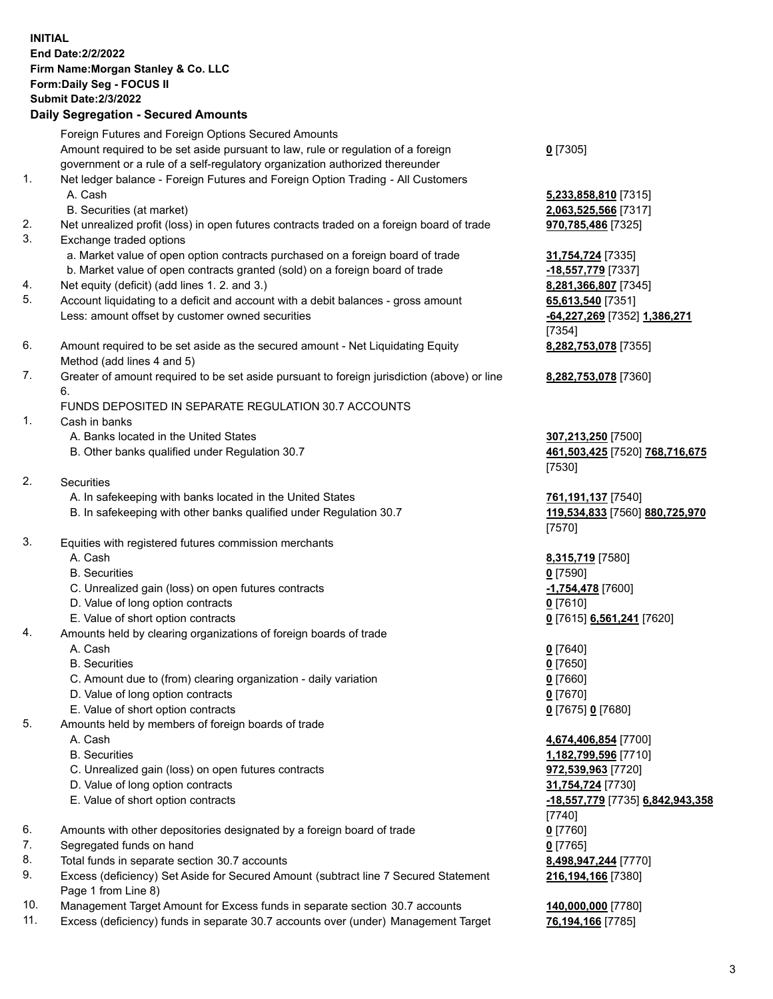|    | <b>INITIAL</b><br><b>End Date:2/2/2022</b><br>Firm Name: Morgan Stanley & Co. LLC                                                                                                                                       |                                                                |
|----|-------------------------------------------------------------------------------------------------------------------------------------------------------------------------------------------------------------------------|----------------------------------------------------------------|
|    | Form: Daily Seg - FOCUS II<br><b>Submit Date: 2/3/2022</b>                                                                                                                                                              |                                                                |
|    | <b>Daily Segregation - Secured Amounts</b>                                                                                                                                                                              |                                                                |
|    |                                                                                                                                                                                                                         |                                                                |
|    | Foreign Futures and Foreign Options Secured Amounts<br>Amount required to be set aside pursuant to law, rule or regulation of a foreign<br>government or a rule of a self-regulatory organization authorized thereunder | $0$ [7305]                                                     |
| 1. | Net ledger balance - Foreign Futures and Foreign Option Trading - All Customers<br>A. Cash                                                                                                                              | 5,233,858,810 [7315]                                           |
|    | B. Securities (at market)                                                                                                                                                                                               | 2,063,525,566 [7317]                                           |
| 2. | Net unrealized profit (loss) in open futures contracts traded on a foreign board of trade                                                                                                                               | 970,785,486 [7325]                                             |
| 3. | Exchange traded options                                                                                                                                                                                                 |                                                                |
|    | a. Market value of open option contracts purchased on a foreign board of trade<br>b. Market value of open contracts granted (sold) on a foreign board of trade                                                          | 31,754,724 [7335]<br>-18,557,779 [7337]                        |
| 4. | Net equity (deficit) (add lines 1. 2. and 3.)                                                                                                                                                                           | 8,281,366,807 [7345]                                           |
| 5. | Account liquidating to a deficit and account with a debit balances - gross amount                                                                                                                                       | 65,613,540 [7351]                                              |
|    | Less: amount offset by customer owned securities                                                                                                                                                                        | -64,227,269 [7352] 1,386,271<br>[7354]                         |
| 6. | Amount required to be set aside as the secured amount - Net Liquidating Equity<br>Method (add lines 4 and 5)                                                                                                            | 8,282,753,078 [7355]                                           |
| 7. | Greater of amount required to be set aside pursuant to foreign jurisdiction (above) or line<br>6.                                                                                                                       | 8,282,753,078 [7360]                                           |
|    | FUNDS DEPOSITED IN SEPARATE REGULATION 30.7 ACCOUNTS                                                                                                                                                                    |                                                                |
| 1. | Cash in banks                                                                                                                                                                                                           |                                                                |
|    | A. Banks located in the United States<br>B. Other banks qualified under Regulation 30.7                                                                                                                                 | 307,213,250 [7500]<br>461,503,425 [7520] 768,716,675<br>[7530] |
| 2. | Securities                                                                                                                                                                                                              |                                                                |
|    | A. In safekeeping with banks located in the United States<br>B. In safekeeping with other banks qualified under Regulation 30.7                                                                                         | 761,191,137 [7540]<br>119,534,833 [7560] 880,725,970<br>[7570] |
| 3. | Equities with registered futures commission merchants                                                                                                                                                                   |                                                                |
|    | A. Cash                                                                                                                                                                                                                 | 8,315,719 [7580]                                               |
|    | <b>B.</b> Securities                                                                                                                                                                                                    | $0$ [7590]                                                     |
|    | C. Unrealized gain (loss) on open futures contracts                                                                                                                                                                     | -1,754,478 [7600]                                              |
|    | D. Value of long option contracts                                                                                                                                                                                       | <u>0</u> [7610]                                                |
|    | E. Value of short option contracts                                                                                                                                                                                      | 0 [7615] 6,561,241 [7620]                                      |
| 4. | Amounts held by clearing organizations of foreign boards of trade                                                                                                                                                       |                                                                |
|    | A. Cash                                                                                                                                                                                                                 | $0$ [7640]                                                     |
|    | <b>B.</b> Securities                                                                                                                                                                                                    | $0$ [7650]                                                     |
|    | C. Amount due to (from) clearing organization - daily variation<br>D. Value of long option contracts                                                                                                                    | $0$ [7660]<br>$0$ [7670]                                       |
|    | E. Value of short option contracts                                                                                                                                                                                      | 0 [7675] 0 [7680]                                              |
| 5. | Amounts held by members of foreign boards of trade                                                                                                                                                                      |                                                                |
|    | A. Cash                                                                                                                                                                                                                 | 4,674,406,854 [7700]                                           |
|    | <b>B.</b> Securities                                                                                                                                                                                                    | 1,182,799,596 [7710]                                           |
|    | C. Unrealized gain (loss) on open futures contracts                                                                                                                                                                     | 972,539,963 [7720]                                             |
|    | D. Value of long option contracts                                                                                                                                                                                       | 31,754,724 [7730]                                              |
|    | E. Value of short option contracts                                                                                                                                                                                      | -18,557,779 [7735] 6,842,943,358                               |
|    |                                                                                                                                                                                                                         | $[7740]$                                                       |
| 6. | Amounts with other depositories designated by a foreign board of trade                                                                                                                                                  | $0$ [7760]                                                     |
| 7. | Segregated funds on hand                                                                                                                                                                                                | $0$ [7765]                                                     |
| 8. | Total funds in separate section 30.7 accounts                                                                                                                                                                           | 8,498,947,244 [7770]                                           |
| 9. | Excess (deficiency) Set Aside for Secured Amount (subtract line 7 Secured Statement<br>Page 1 from Line 8)                                                                                                              | 216,194,166 [7380]                                             |

- 10. Management Target Amount for Excess funds in separate section 30.7 accounts **140,000,000** [7780]
- 11. Excess (deficiency) funds in separate 30.7 accounts over (under) Management Target **76,194,166** [7785]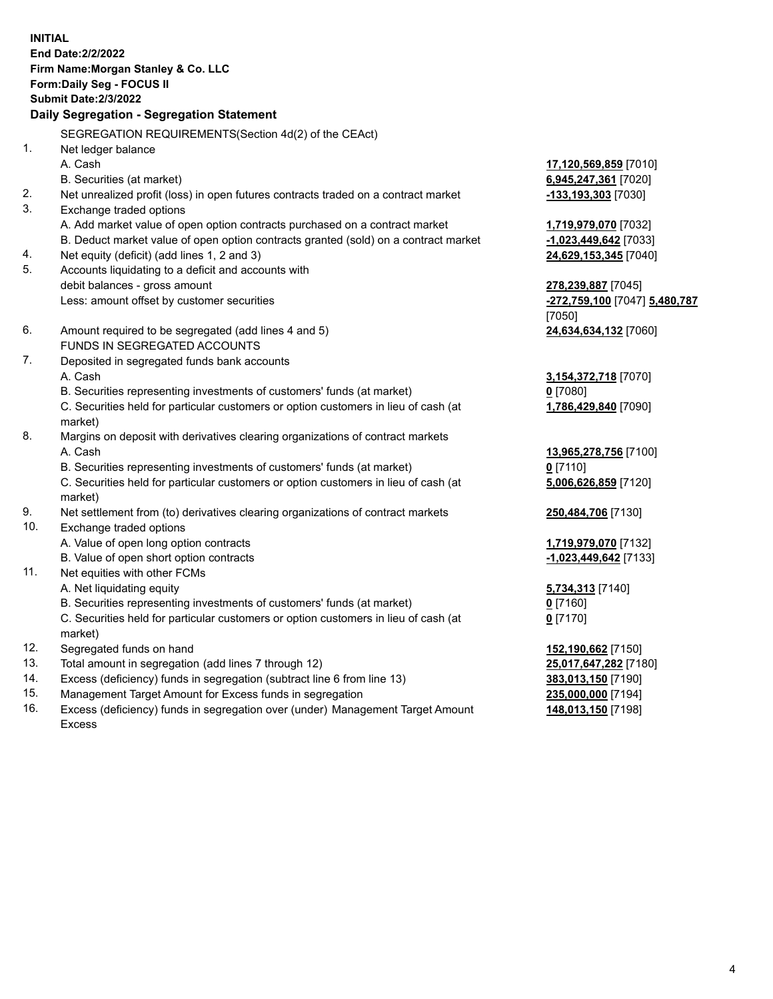**INITIAL End Date:2/2/2022 Firm Name:Morgan Stanley & Co. LLC Form:Daily Seg - FOCUS II Submit Date:2/3/2022 Daily Segregation - Segregation Statement** SEGREGATION REQUIREMENTS(Section 4d(2) of the CEAct) 1. Net ledger balance A. Cash **17,120,569,859** [7010] B. Securities (at market) **6,945,247,361** [7020] 2. Net unrealized profit (loss) in open futures contracts traded on a contract market **-133,193,303** [7030] 3. Exchange traded options A. Add market value of open option contracts purchased on a contract market **1,719,979,070** [7032] B. Deduct market value of open option contracts granted (sold) on a contract market **-1,023,449,642** [7033] 4. Net equity (deficit) (add lines 1, 2 and 3) **24,629,153,345** [7040] 5. Accounts liquidating to a deficit and accounts with debit balances - gross amount **278,239,887** [7045] Less: amount offset by customer securities **-272,759,100** [7047] **5,480,787** [7050] 6. Amount required to be segregated (add lines 4 and 5) **24,634,634,132** [7060] FUNDS IN SEGREGATED ACCOUNTS 7. Deposited in segregated funds bank accounts A. Cash **3,154,372,718** [7070] B. Securities representing investments of customers' funds (at market) **0** [7080] C. Securities held for particular customers or option customers in lieu of cash (at market) **1,786,429,840** [7090] 8. Margins on deposit with derivatives clearing organizations of contract markets A. Cash **13,965,278,756** [7100] B. Securities representing investments of customers' funds (at market) **0** [7110] C. Securities held for particular customers or option customers in lieu of cash (at market) **5,006,626,859** [7120] 9. Net settlement from (to) derivatives clearing organizations of contract markets **250,484,706** [7130] 10. Exchange traded options A. Value of open long option contracts **1,719,979,070** [7132] B. Value of open short option contracts **-1,023,449,642** [7133] 11. Net equities with other FCMs A. Net liquidating equity **5,734,313** [7140] B. Securities representing investments of customers' funds (at market) **0** [7160] C. Securities held for particular customers or option customers in lieu of cash (at market) **0** [7170] 12. Segregated funds on hand **152,190,662** [7150] 13. Total amount in segregation (add lines 7 through 12) **25,017,647,282** [7180] 14. Excess (deficiency) funds in segregation (subtract line 6 from line 13) **383,013,150** [7190] 15. Management Target Amount for Excess funds in segregation **235,000,000** [7194]

16. Excess (deficiency) funds in segregation over (under) Management Target Amount Excess

**148,013,150** [7198]